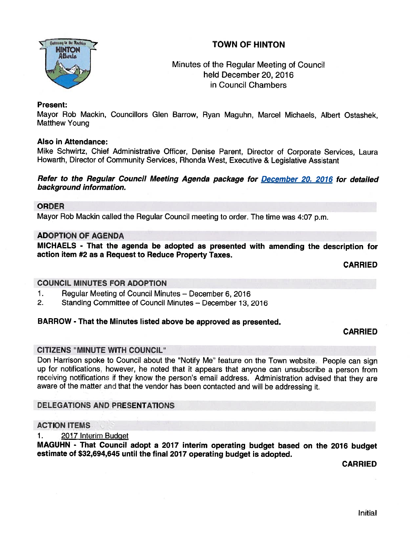# TOWN OF HINTON



# Minutes of the Regular Meeting of Council held December 20, 2016 in Council Chambers

## Present:

Mayor Rob Mackin, Councillors Glen Barrow, Ryan Maguhn, Marcel Michaels, Albert Ostashek, Matthew Young

### Also in Attendance:

Mike Schwirtz, Chief Administrative Officer, Denise Parent, Director of Corporate Services, Laura Howarth, Director of Community Services, Rhonda West, Executive & Legislative Assistant

# Refer to the Regular Council Meeting Agenda package for December 20, 2016 for detailed background information.

### ORDER

Mayor Rob Mackin called the Regular Council meeting to order. The time was 4:07 p.m.

### ADOPTION OF AGENDA

MICHAELS - That the agenda be adopted as presented with amending the description for action item #2 as <sup>a</sup> Request to Reduce Property Taxes.

CARRIED

#### COUNCIL MINUTES FOR ADOPTION

- 1. Regular Meeting of Council Minutes December 6, 2016
- 2. Standing Committee of Council Minutes December 13, 2016

## BARROW - That the Minutes listed above be approved as presented.

#### CARRIED

## CITIZENS "MINUTE WITH COUNCIL"

Don Harrison spoke to Council about the "Notify Me" feature on the Town website. People can sign up for notifications, however, he noted that it appears that anyone can unsubscribe <sup>a</sup> person from receiving notifications if they know the person's email address. Administration advised that they are aware of the matter and that the vendor has been contacted and will be addressing it.

## DELEGATIONS AND PRESENTATIONS

#### **ACTION ITEMS**

1. 2017 Interim Budget

MAGUHN - That Council adopt <sup>a</sup> <sup>2017</sup> interim operating budget based on the <sup>2016</sup> budget estimate of \$32,694,645 until the final <sup>2017</sup> operating budget is adopted.

CARRIED